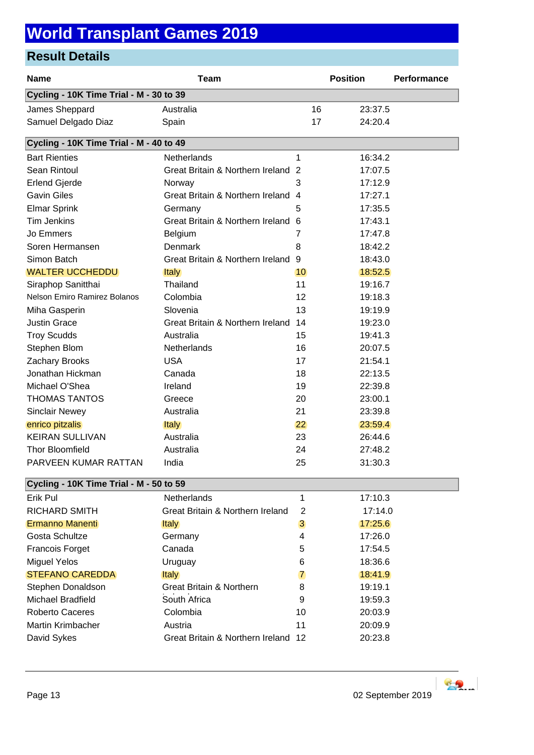## **World Transplant Games 2019**

## **Result Details**

| <b>Name</b>                             | <b>Team</b>                        |                 | <b>Position</b> | <b>Performance</b> |  |  |  |
|-----------------------------------------|------------------------------------|-----------------|-----------------|--------------------|--|--|--|
| Cycling - 10K Time Trial - M - 30 to 39 |                                    |                 |                 |                    |  |  |  |
| James Sheppard                          | Australia                          | 16              | 23:37.5         |                    |  |  |  |
| Samuel Delgado Diaz                     | Spain                              | 17              | 24:20.4         |                    |  |  |  |
| Cycling - 10K Time Trial - M - 40 to 49 |                                    |                 |                 |                    |  |  |  |
| <b>Bart Rienties</b>                    | <b>Netherlands</b>                 | 1               | 16:34.2         |                    |  |  |  |
| Sean Rintoul                            | Great Britain & Northern Ireland 2 |                 | 17:07.5         |                    |  |  |  |
| <b>Erlend Gjerde</b>                    | Norway                             | 3               | 17:12.9         |                    |  |  |  |
| <b>Gavin Giles</b>                      | Great Britain & Northern Ireland   | $\overline{4}$  | 17:27.1         |                    |  |  |  |
| Elmar Sprink                            | Germany                            | 5               | 17:35.5         |                    |  |  |  |
| <b>Tim Jenkins</b>                      | Great Britain & Northern Ireland   | 6               | 17:43.1         |                    |  |  |  |
| Jo Emmers                               | Belgium                            | 7               | 17:47.8         |                    |  |  |  |
| Soren Hermansen                         | Denmark                            | 8               | 18:42.2         |                    |  |  |  |
| Simon Batch                             | Great Britain & Northern Ireland   | 9               | 18:43.0         |                    |  |  |  |
| <b>WALTER UCCHEDDU</b>                  | <b>Italy</b>                       | 10 <sup>°</sup> | 18:52.5         |                    |  |  |  |
| Siraphop Sanitthai                      | Thailand                           | 11              | 19:16.7         |                    |  |  |  |
| <b>Nelson Emiro Ramirez Bolanos</b>     | Colombia                           | 12              | 19:18.3         |                    |  |  |  |
| Miha Gasperin                           | Slovenia                           | 13              | 19:19.9         |                    |  |  |  |
| <b>Justin Grace</b>                     | Great Britain & Northern Ireland   | 14              | 19:23.0         |                    |  |  |  |
| <b>Troy Scudds</b>                      | Australia                          | 15              | 19:41.3         |                    |  |  |  |
| Stephen Blom                            | Netherlands                        | 16              | 20:07.5         |                    |  |  |  |
| Zachary Brooks                          | <b>USA</b>                         | 17              | 21:54.1         |                    |  |  |  |
| Jonathan Hickman                        | Canada                             | 18              | 22:13.5         |                    |  |  |  |
| Michael O'Shea                          | Ireland                            | 19              | 22:39.8         |                    |  |  |  |
| <b>THOMAS TANTOS</b>                    | Greece                             | 20              | 23:00.1         |                    |  |  |  |
| <b>Sinclair Newey</b>                   | Australia                          | 21              | 23:39.8         |                    |  |  |  |
| enrico pitzalis                         | <b>Italy</b>                       | 22              | 23:59.4         |                    |  |  |  |
| <b>KEIRAN SULLIVAN</b>                  | Australia                          | 23              | 26:44.6         |                    |  |  |  |
| <b>Thor Bloomfield</b>                  | Australia                          | 24              | 27:48.2         |                    |  |  |  |
| PARVEEN KUMAR RATTAN                    | India                              | 25              | 31:30.3         |                    |  |  |  |
| Cycling - 10K Time Trial - M - 50 to 59 |                                    |                 |                 |                    |  |  |  |
| Erik Pul                                | <b>Netherlands</b>                 | 1               | 17:10.3         |                    |  |  |  |
| <b>RICHARD SMITH</b>                    | Great Britain & Northern Ireland   | 2               | 17:14.0         |                    |  |  |  |
| Ermanno Manenti                         | <b>Italy</b>                       | 3               | 17:25.6         |                    |  |  |  |
| Gosta Schultze                          | Germany                            | 4               | 17:26.0         |                    |  |  |  |
| Francois Forget                         | Canada                             | 5               | 17:54.5         |                    |  |  |  |
| <b>Miguel Yelos</b>                     | Uruguay                            | 6               | 18:36.6         |                    |  |  |  |
| <b>STEFANO CAREDDA</b>                  | <b>Italy</b>                       | 7               | 18:41.9         |                    |  |  |  |
| Stephen Donaldson                       | Great Britain & Northern           | 8               | 19:19.1         |                    |  |  |  |
| <b>Michael Bradfield</b>                | South Africa                       | 9               | 19:59.3         |                    |  |  |  |
| <b>Roberto Caceres</b>                  | Colombia                           | 10              | 20:03.9         |                    |  |  |  |
| Martin Krimbacher                       | Austria                            | 11              | 20:09.9         |                    |  |  |  |
| David Sykes                             | Great Britain & Northern Ireland   | 12              | 20:23.8         |                    |  |  |  |